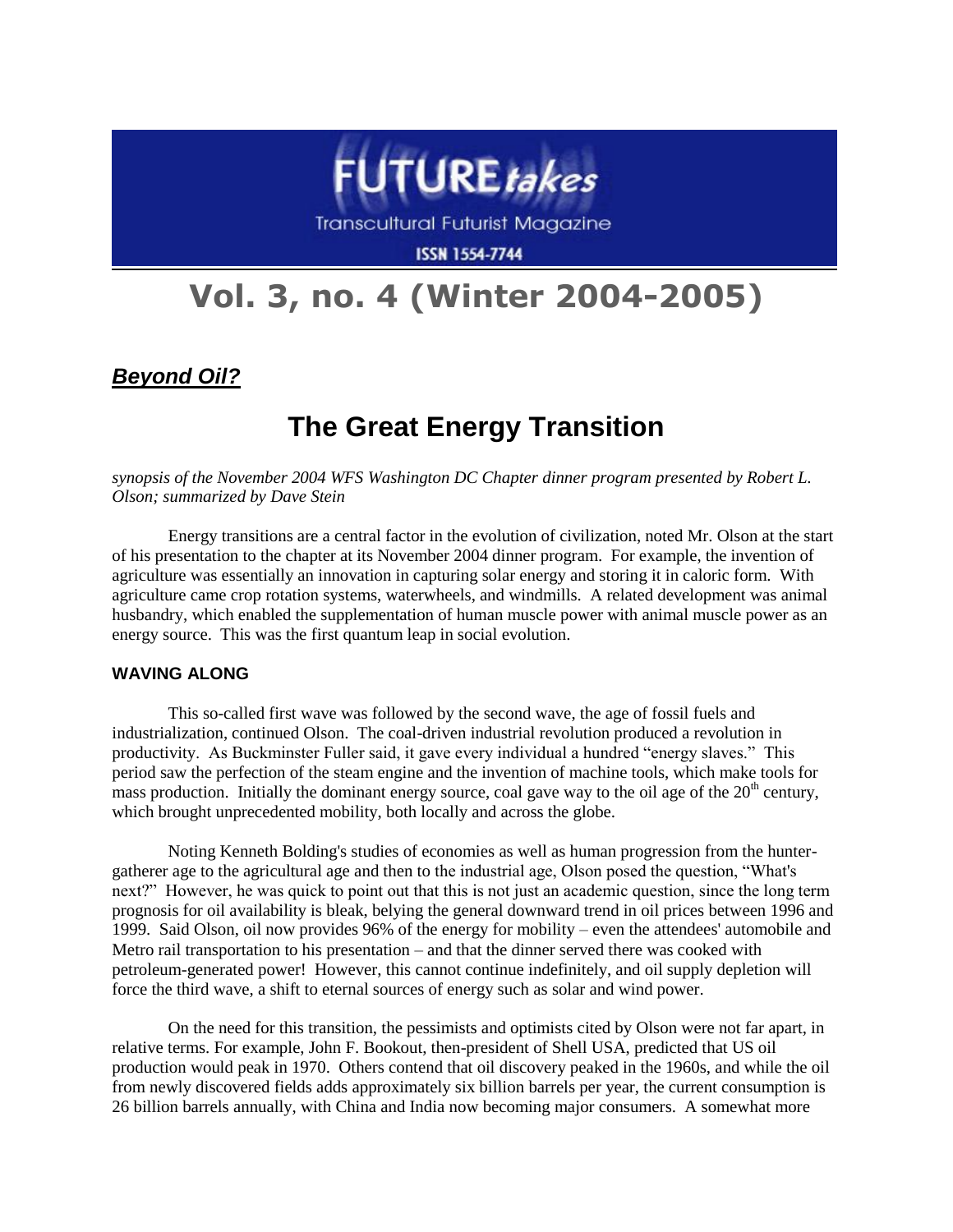

**Transcultural Futurist Magazine** 

**ISSN 1554-7744** 

# **Vol. 3, no. 4 (Winter 2004-2005)**

*Beyond Oil?*

# **The Great Energy Transition**

*synopsis of the November 2004 WFS Washington DC Chapter dinner program presented by Robert L. Olson; summarized by Dave Stein*

Energy transitions are a central factor in the evolution of civilization, noted Mr. Olson at the start of his presentation to the chapter at its November 2004 dinner program. For example, the invention of agriculture was essentially an innovation in capturing solar energy and storing it in caloric form. With agriculture came crop rotation systems, waterwheels, and windmills. A related development was animal husbandry, which enabled the supplementation of human muscle power with animal muscle power as an energy source. This was the first quantum leap in social evolution.

# **WAVING ALONG**

This so-called first wave was followed by the second wave, the age of fossil fuels and industrialization, continued Olson. The coal-driven industrial revolution produced a revolution in productivity. As Buckminster Fuller said, it gave every individual a hundred "energy slaves." This period saw the perfection of the steam engine and the invention of machine tools, which make tools for mass production. Initially the dominant energy source, coal gave way to the oil age of the  $20<sup>th</sup>$  century, which brought unprecedented mobility, both locally and across the globe.

Noting Kenneth Bolding's studies of economies as well as human progression from the huntergatherer age to the agricultural age and then to the industrial age, Olson posed the question, "What's next?" However, he was quick to point out that this is not just an academic question, since the long term prognosis for oil availability is bleak, belying the general downward trend in oil prices between 1996 and 1999. Said Olson, oil now provides 96% of the energy for mobility – even the attendees' automobile and Metro rail transportation to his presentation – and that the dinner served there was cooked with petroleum-generated power! However, this cannot continue indefinitely, and oil supply depletion will force the third wave, a shift to eternal sources of energy such as solar and wind power.

On the need for this transition, the pessimists and optimists cited by Olson were not far apart, in relative terms. For example, John F. Bookout, then-president of Shell USA, predicted that US oil production would peak in 1970. Others contend that oil discovery peaked in the 1960s, and while the oil from newly discovered fields adds approximately six billion barrels per year, the current consumption is 26 billion barrels annually, with China and India now becoming major consumers. A somewhat more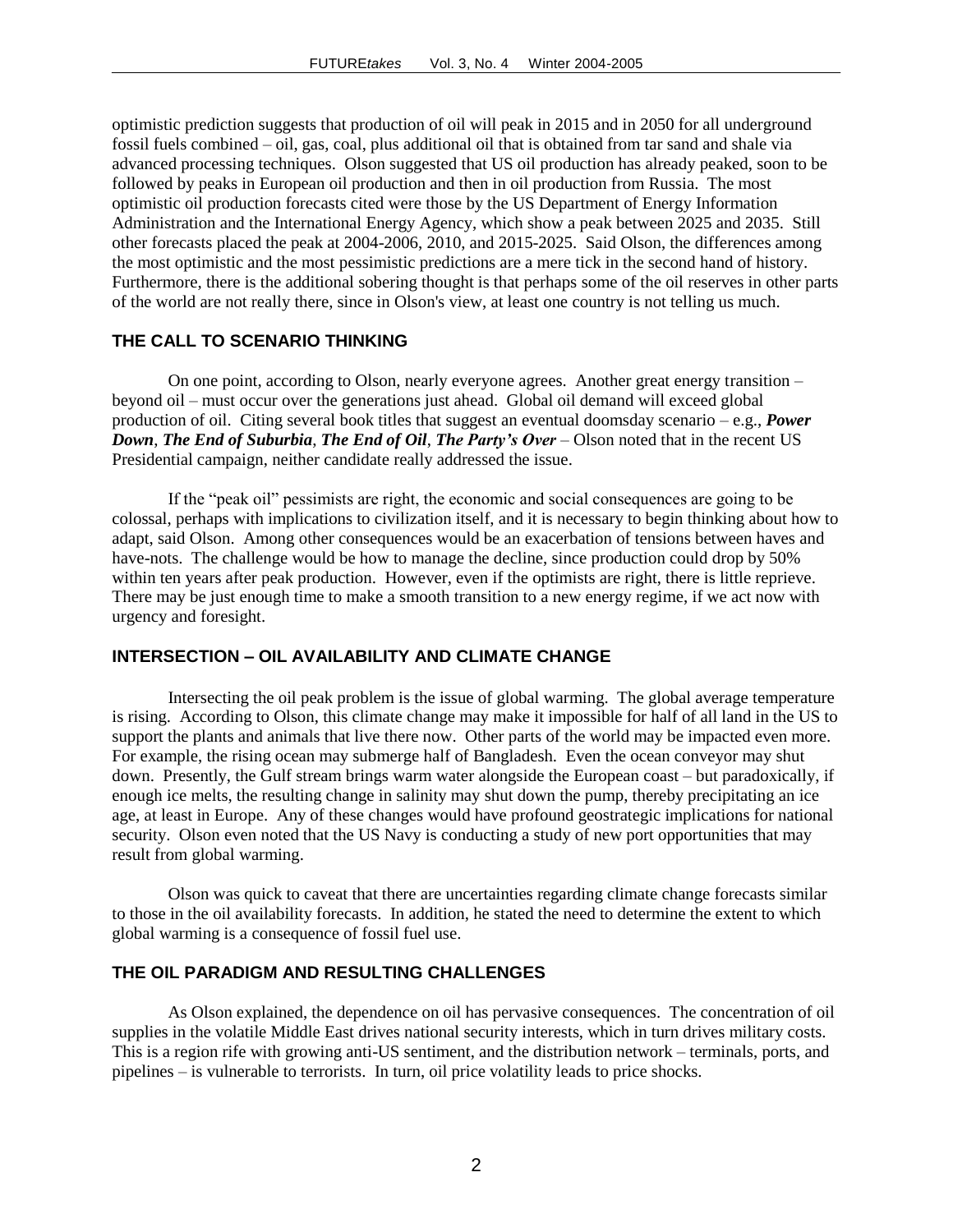optimistic prediction suggests that production of oil will peak in 2015 and in 2050 for all underground fossil fuels combined – oil, gas, coal, plus additional oil that is obtained from tar sand and shale via advanced processing techniques. Olson suggested that US oil production has already peaked, soon to be followed by peaks in European oil production and then in oil production from Russia. The most optimistic oil production forecasts cited were those by the US Department of Energy Information Administration and the International Energy Agency, which show a peak between 2025 and 2035. Still other forecasts placed the peak at 2004-2006, 2010, and 2015-2025. Said Olson, the differences among the most optimistic and the most pessimistic predictions are a mere tick in the second hand of history. Furthermore, there is the additional sobering thought is that perhaps some of the oil reserves in other parts of the world are not really there, since in Olson's view, at least one country is not telling us much.

#### **THE CALL TO SCENARIO THINKING**

On one point, according to Olson, nearly everyone agrees. Another great energy transition – beyond oil – must occur over the generations just ahead. Global oil demand will exceed global production of oil. Citing several book titles that suggest an eventual doomsday scenario – e.g., *Power Down*, *The End of Suburbia*, *The End of Oil*, *The Party's Over* – Olson noted that in the recent US Presidential campaign, neither candidate really addressed the issue.

If the "peak oil" pessimists are right, the economic and social consequences are going to be colossal, perhaps with implications to civilization itself, and it is necessary to begin thinking about how to adapt, said Olson. Among other consequences would be an exacerbation of tensions between haves and have-nots. The challenge would be how to manage the decline, since production could drop by 50% within ten years after peak production. However, even if the optimists are right, there is little reprieve. There may be just enough time to make a smooth transition to a new energy regime, if we act now with urgency and foresight.

#### **INTERSECTION – OIL AVAILABILITY AND CLIMATE CHANGE**

Intersecting the oil peak problem is the issue of global warming. The global average temperature is rising. According to Olson, this climate change may make it impossible for half of all land in the US to support the plants and animals that live there now. Other parts of the world may be impacted even more. For example, the rising ocean may submerge half of Bangladesh. Even the ocean conveyor may shut down. Presently, the Gulf stream brings warm water alongside the European coast – but paradoxically, if enough ice melts, the resulting change in salinity may shut down the pump, thereby precipitating an ice age, at least in Europe. Any of these changes would have profound geostrategic implications for national security. Olson even noted that the US Navy is conducting a study of new port opportunities that may result from global warming.

Olson was quick to caveat that there are uncertainties regarding climate change forecasts similar to those in the oil availability forecasts. In addition, he stated the need to determine the extent to which global warming is a consequence of fossil fuel use.

#### **THE OIL PARADIGM AND RESULTING CHALLENGES**

As Olson explained, the dependence on oil has pervasive consequences. The concentration of oil supplies in the volatile Middle East drives national security interests, which in turn drives military costs. This is a region rife with growing anti-US sentiment, and the distribution network – terminals, ports, and pipelines – is vulnerable to terrorists. In turn, oil price volatility leads to price shocks.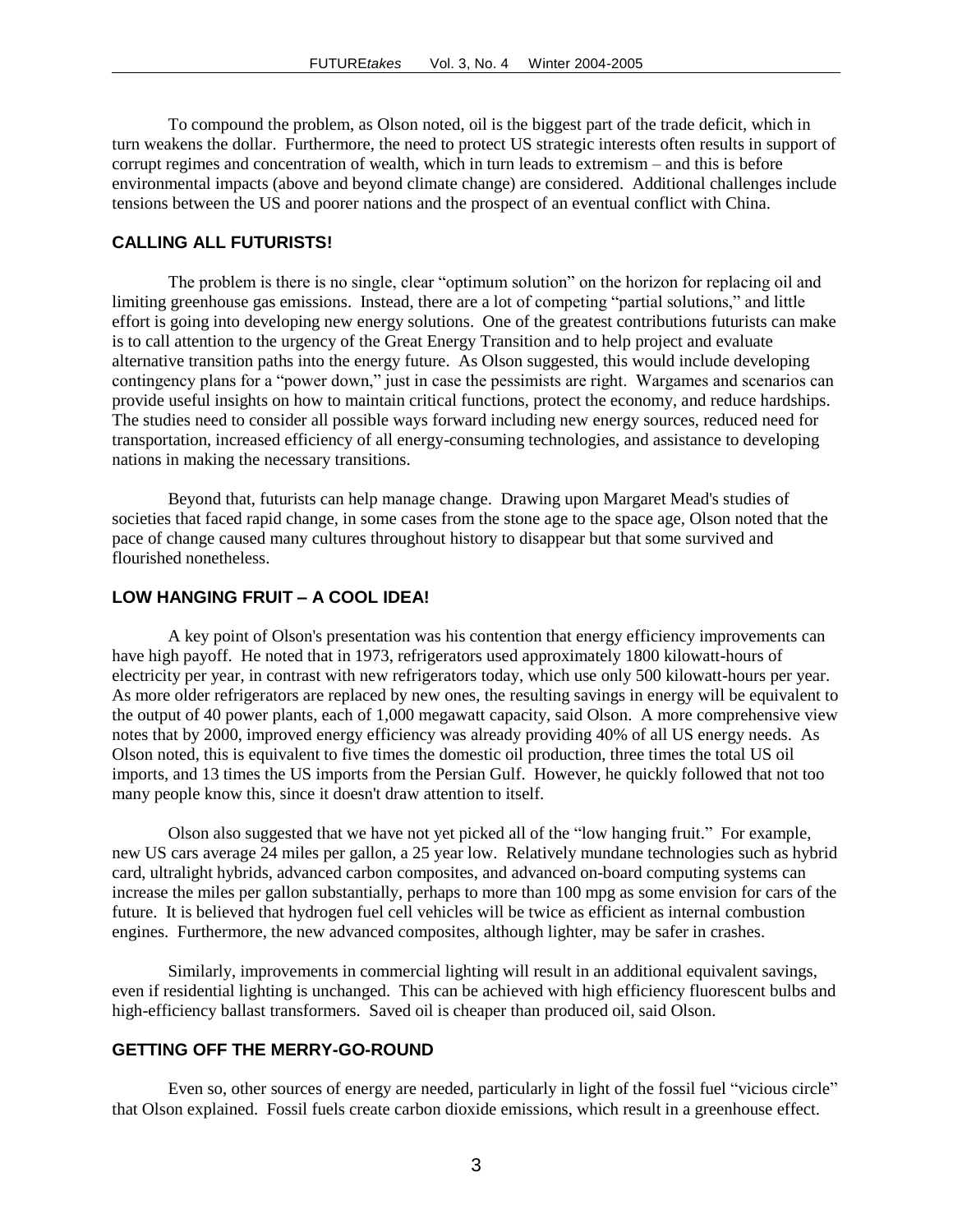To compound the problem, as Olson noted, oil is the biggest part of the trade deficit, which in turn weakens the dollar. Furthermore, the need to protect US strategic interests often results in support of corrupt regimes and concentration of wealth, which in turn leads to extremism – and this is before environmental impacts (above and beyond climate change) are considered. Additional challenges include tensions between the US and poorer nations and the prospect of an eventual conflict with China.

#### **CALLING ALL FUTURISTS!**

The problem is there is no single, clear "optimum solution" on the horizon for replacing oil and limiting greenhouse gas emissions. Instead, there are a lot of competing "partial solutions," and little effort is going into developing new energy solutions. One of the greatest contributions futurists can make is to call attention to the urgency of the Great Energy Transition and to help project and evaluate alternative transition paths into the energy future. As Olson suggested, this would include developing contingency plans for a "power down," just in case the pessimists are right. Wargames and scenarios can provide useful insights on how to maintain critical functions, protect the economy, and reduce hardships. The studies need to consider all possible ways forward including new energy sources, reduced need for transportation, increased efficiency of all energy-consuming technologies, and assistance to developing nations in making the necessary transitions.

Beyond that, futurists can help manage change. Drawing upon Margaret Mead's studies of societies that faced rapid change, in some cases from the stone age to the space age, Olson noted that the pace of change caused many cultures throughout history to disappear but that some survived and flourished nonetheless.

#### **LOW HANGING FRUIT – A COOL IDEA!**

A key point of Olson's presentation was his contention that energy efficiency improvements can have high payoff. He noted that in 1973, refrigerators used approximately 1800 kilowatt-hours of electricity per year, in contrast with new refrigerators today, which use only 500 kilowatt-hours per year. As more older refrigerators are replaced by new ones, the resulting savings in energy will be equivalent to the output of 40 power plants, each of 1,000 megawatt capacity, said Olson. A more comprehensive view notes that by 2000, improved energy efficiency was already providing 40% of all US energy needs. As Olson noted, this is equivalent to five times the domestic oil production, three times the total US oil imports, and 13 times the US imports from the Persian Gulf. However, he quickly followed that not too many people know this, since it doesn't draw attention to itself.

Olson also suggested that we have not yet picked all of the "low hanging fruit." For example, new US cars average 24 miles per gallon, a 25 year low. Relatively mundane technologies such as hybrid card, ultralight hybrids, advanced carbon composites, and advanced on-board computing systems can increase the miles per gallon substantially, perhaps to more than 100 mpg as some envision for cars of the future. It is believed that hydrogen fuel cell vehicles will be twice as efficient as internal combustion engines. Furthermore, the new advanced composites, although lighter, may be safer in crashes.

Similarly, improvements in commercial lighting will result in an additional equivalent savings, even if residential lighting is unchanged. This can be achieved with high efficiency fluorescent bulbs and high-efficiency ballast transformers. Saved oil is cheaper than produced oil, said Olson.

#### **GETTING OFF THE MERRY-GO-ROUND**

Even so, other sources of energy are needed, particularly in light of the fossil fuel "vicious circle" that Olson explained. Fossil fuels create carbon dioxide emissions, which result in a greenhouse effect.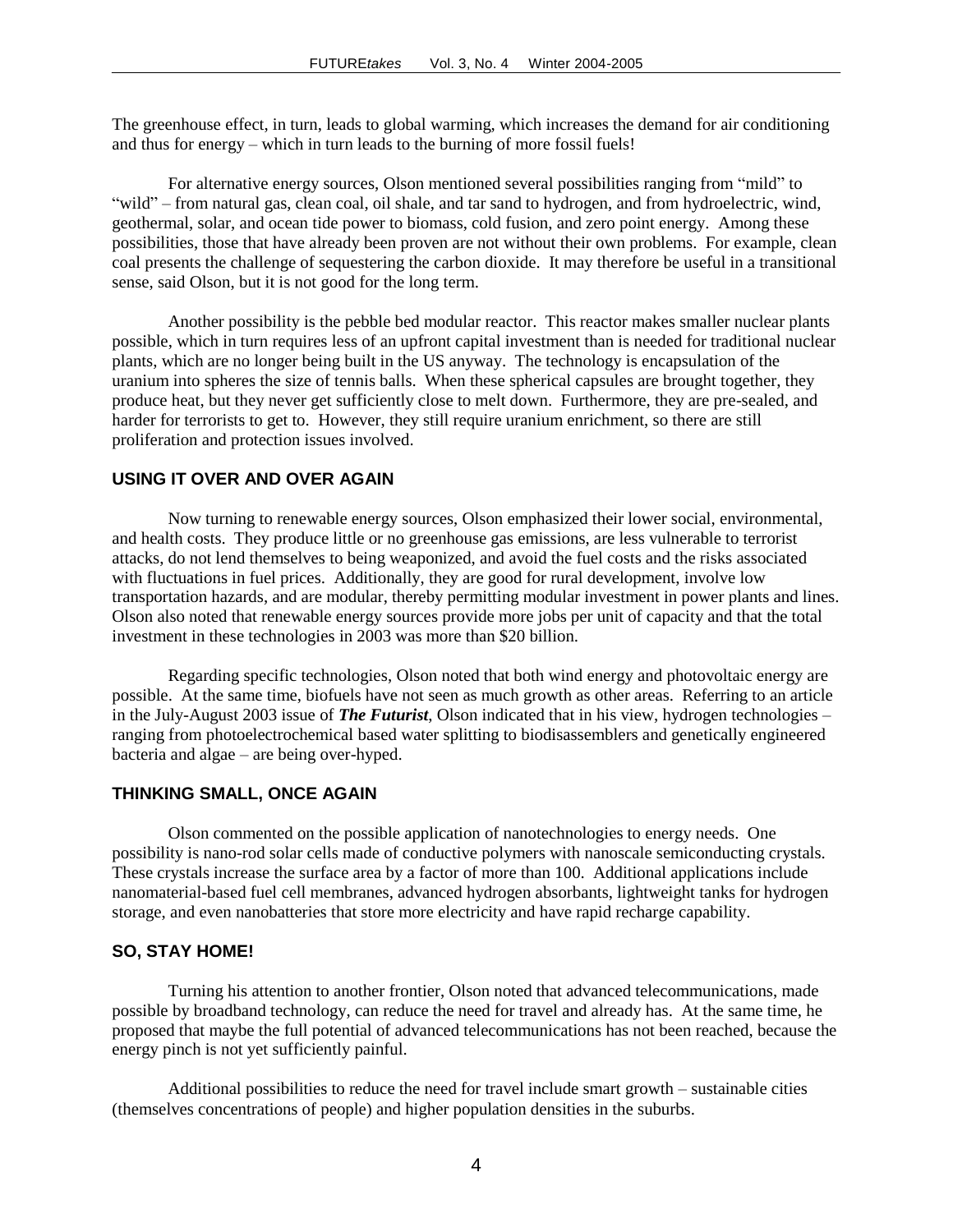The greenhouse effect, in turn, leads to global warming, which increases the demand for air conditioning and thus for energy – which in turn leads to the burning of more fossil fuels!

For alternative energy sources, Olson mentioned several possibilities ranging from "mild" to "wild" – from natural gas, clean coal, oil shale, and tar sand to hydrogen, and from hydroelectric, wind, geothermal, solar, and ocean tide power to biomass, cold fusion, and zero point energy. Among these possibilities, those that have already been proven are not without their own problems. For example, clean coal presents the challenge of sequestering the carbon dioxide. It may therefore be useful in a transitional sense, said Olson, but it is not good for the long term.

Another possibility is the pebble bed modular reactor. This reactor makes smaller nuclear plants possible, which in turn requires less of an upfront capital investment than is needed for traditional nuclear plants, which are no longer being built in the US anyway. The technology is encapsulation of the uranium into spheres the size of tennis balls. When these spherical capsules are brought together, they produce heat, but they never get sufficiently close to melt down. Furthermore, they are pre-sealed, and harder for terrorists to get to. However, they still require uranium enrichment, so there are still proliferation and protection issues involved.

# **USING IT OVER AND OVER AGAIN**

Now turning to renewable energy sources, Olson emphasized their lower social, environmental, and health costs. They produce little or no greenhouse gas emissions, are less vulnerable to terrorist attacks, do not lend themselves to being weaponized, and avoid the fuel costs and the risks associated with fluctuations in fuel prices. Additionally, they are good for rural development, involve low transportation hazards, and are modular, thereby permitting modular investment in power plants and lines. Olson also noted that renewable energy sources provide more jobs per unit of capacity and that the total investment in these technologies in 2003 was more than \$20 billion.

Regarding specific technologies, Olson noted that both wind energy and photovoltaic energy are possible. At the same time, biofuels have not seen as much growth as other areas. Referring to an article in the July-August 2003 issue of *The Futurist*, Olson indicated that in his view, hydrogen technologies – ranging from photoelectrochemical based water splitting to biodisassemblers and genetically engineered bacteria and algae – are being over-hyped.

#### **THINKING SMALL, ONCE AGAIN**

Olson commented on the possible application of nanotechnologies to energy needs. One possibility is nano-rod solar cells made of conductive polymers with nanoscale semiconducting crystals. These crystals increase the surface area by a factor of more than 100. Additional applications include nanomaterial-based fuel cell membranes, advanced hydrogen absorbants, lightweight tanks for hydrogen storage, and even nanobatteries that store more electricity and have rapid recharge capability.

#### **SO, STAY HOME!**

Turning his attention to another frontier, Olson noted that advanced telecommunications, made possible by broadband technology, can reduce the need for travel and already has. At the same time, he proposed that maybe the full potential of advanced telecommunications has not been reached, because the energy pinch is not yet sufficiently painful.

Additional possibilities to reduce the need for travel include smart growth – sustainable cities (themselves concentrations of people) and higher population densities in the suburbs.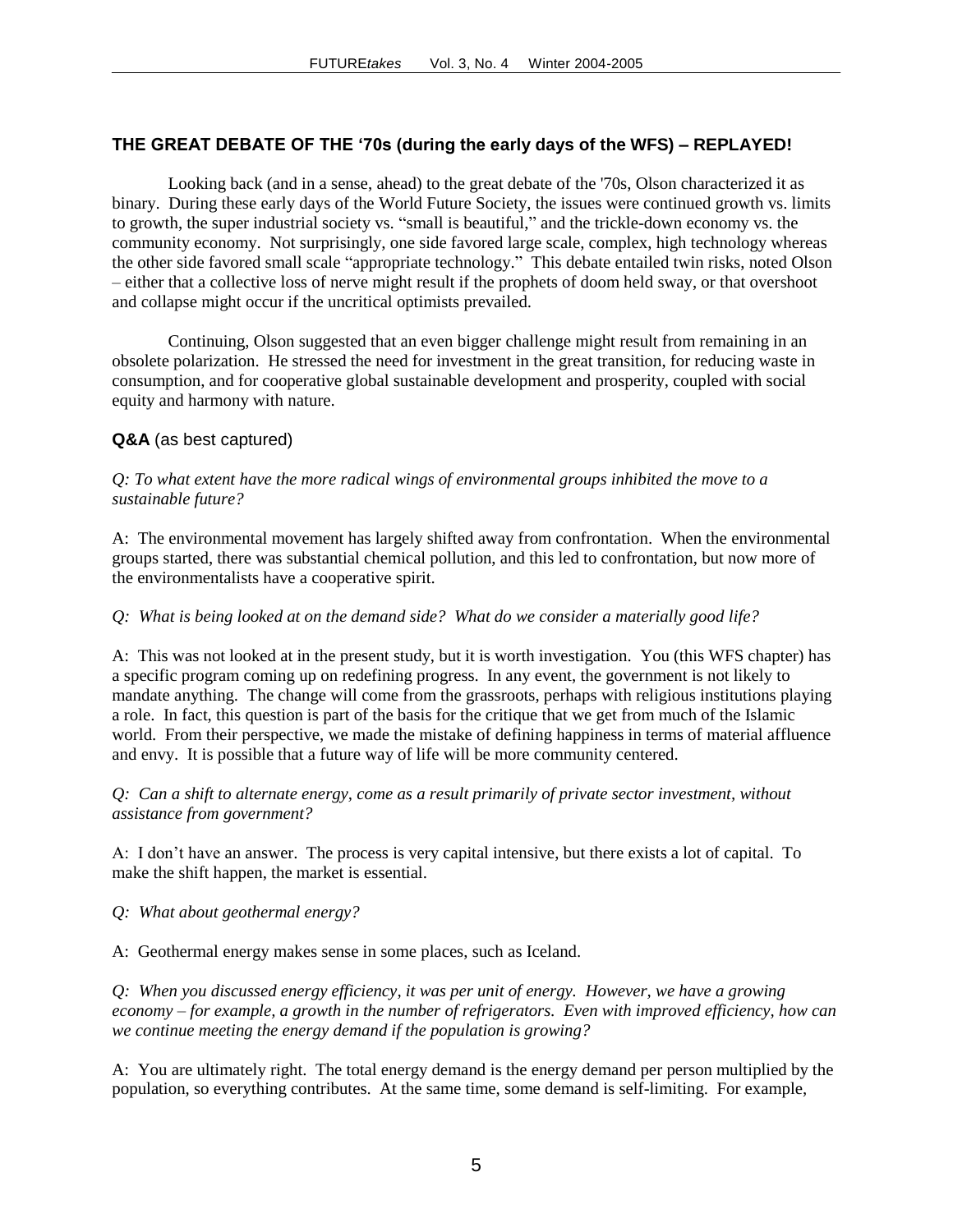# **THE GREAT DEBATE OF THE '70s (during the early days of the WFS) – REPLAYED!**

Looking back (and in a sense, ahead) to the great debate of the '70s, Olson characterized it as binary. During these early days of the World Future Society, the issues were continued growth vs. limits to growth, the super industrial society vs. "small is beautiful," and the trickle-down economy vs. the community economy. Not surprisingly, one side favored large scale, complex, high technology whereas the other side favored small scale "appropriate technology." This debate entailed twin risks, noted Olson – either that a collective loss of nerve might result if the prophets of doom held sway, or that overshoot and collapse might occur if the uncritical optimists prevailed.

Continuing, Olson suggested that an even bigger challenge might result from remaining in an obsolete polarization. He stressed the need for investment in the great transition, for reducing waste in consumption, and for cooperative global sustainable development and prosperity, coupled with social equity and harmony with nature.

# **Q&A** (as best captured)

# *Q: To what extent have the more radical wings of environmental groups inhibited the move to a sustainable future?*

A: The environmental movement has largely shifted away from confrontation. When the environmental groups started, there was substantial chemical pollution, and this led to confrontation, but now more of the environmentalists have a cooperative spirit.

### *Q: What is being looked at on the demand side? What do we consider a materially good life?*

A: This was not looked at in the present study, but it is worth investigation. You (this WFS chapter) has a specific program coming up on redefining progress. In any event, the government is not likely to mandate anything. The change will come from the grassroots, perhaps with religious institutions playing a role. In fact, this question is part of the basis for the critique that we get from much of the Islamic world. From their perspective, we made the mistake of defining happiness in terms of material affluence and envy. It is possible that a future way of life will be more community centered.

# *Q: Can a shift to alternate energy, come as a result primarily of private sector investment, without assistance from government?*

A: I don't have an answer. The process is very capital intensive, but there exists a lot of capital. To make the shift happen, the market is essential.

*Q: What about geothermal energy?*

A: Geothermal energy makes sense in some places, such as Iceland.

*Q: When you discussed energy efficiency, it was per unit of energy. However, we have a growing economy – for example, a growth in the number of refrigerators. Even with improved efficiency, how can we continue meeting the energy demand if the population is growing?*

A: You are ultimately right. The total energy demand is the energy demand per person multiplied by the population, so everything contributes. At the same time, some demand is self-limiting. For example,